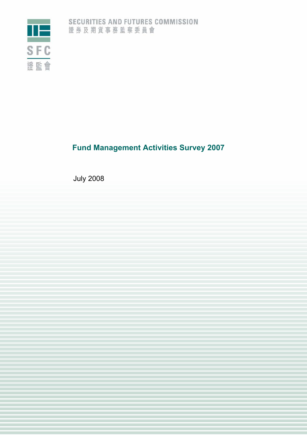

# **Fund Management Activities Survey 2007**

July 2008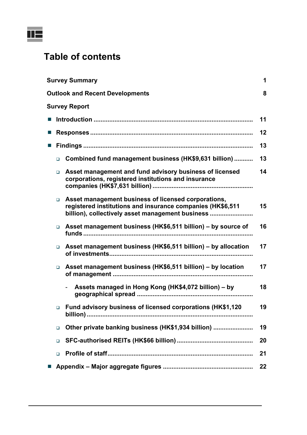

# **Table of contents**

|            | <b>Survey Summary</b><br>1 |                                                                                                                                                                       |    |  |  |  |
|------------|----------------------------|-----------------------------------------------------------------------------------------------------------------------------------------------------------------------|----|--|--|--|
|            |                            | <b>Outlook and Recent Developments</b>                                                                                                                                | 8  |  |  |  |
|            |                            | <b>Survey Report</b>                                                                                                                                                  |    |  |  |  |
|            |                            |                                                                                                                                                                       | 11 |  |  |  |
|            |                            |                                                                                                                                                                       | 12 |  |  |  |
|            |                            |                                                                                                                                                                       | 13 |  |  |  |
|            | $\Box$                     | Combined fund management business (HK\$9,631 billion)                                                                                                                 | 13 |  |  |  |
|            | $\Box$                     | Asset management and fund advisory business of licensed<br>corporations, registered institutions and insurance                                                        | 14 |  |  |  |
|            | $\Box$                     | Asset management business of licensed corporations,<br>registered institutions and insurance companies (HK\$6,511<br>billion), collectively asset management business | 15 |  |  |  |
|            | $\Box$                     | Asset management business (HK\$6,511 billion) - by source of                                                                                                          | 16 |  |  |  |
|            | $\Box$                     | Asset management business (HK\$6,511 billion) - by allocation                                                                                                         | 17 |  |  |  |
|            | $\Box$                     | Asset management business (HK\$6,511 billion) - by location                                                                                                           | 17 |  |  |  |
|            |                            | Assets managed in Hong Kong (HK\$4,072 billion) – by                                                                                                                  | 18 |  |  |  |
|            |                            | Fund advisory business of licensed corporations (HK\$1,120                                                                                                            | 19 |  |  |  |
|            | $\Box$                     | Other private banking business (HK\$1,934 billion)                                                                                                                    | 19 |  |  |  |
|            | $\Box$                     |                                                                                                                                                                       | 20 |  |  |  |
|            | $\Box$                     |                                                                                                                                                                       | 21 |  |  |  |
| <u>a s</u> |                            |                                                                                                                                                                       | 22 |  |  |  |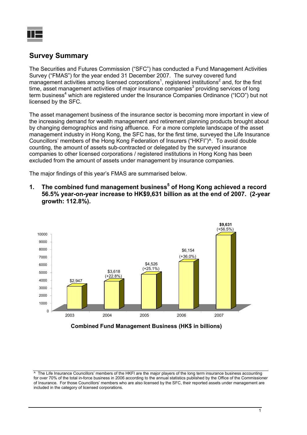

## **Survey Summary**

The Securities and Futures Commission ("SFC") has conducted a Fund Management Activities Survey ("FMAS") for the year ended 31 December 2007. The survey covered fund management activities among licensed corporations<sup>1</sup>, registered institutions<sup>2</sup> and, for the first time, asset management activities of major insurance companies<sup>3</sup> providing services of long term business<sup>4</sup> which are registered under the Insurance Companies Ordinance ("ICO") but not licensed by the SFC.

The asset management business of the insurance sector is becoming more important in view of the increasing demand for wealth management and retirement planning products brought about by changing demographics and rising affluence. For a more complete landscape of the asset management industry in Hong Kong, the SFC has, for the first time, surveyed the Life Insurance Councillors' members of the Hong Kong Federation of Insurers ("HKFI")^. To avoid double counting, the amount of assets sub-contracted or delegated by the surveyed insurance companies to other licensed corporations / registered institutions in Hong Kong has been excluded from the amount of assets under management by insurance companies.

The major findings of this year's FMAS are summarised below.

1. The combined fund management business<sup>5</sup> of Hong Kong achieved a record **56.5% year-on-year increase to HK\$9,631 billion as at the end of 2007. (2-year growth: 112.8%).** 



**Combined Fund Management Business (HK\$ in billions)**

 $\overline{\phantom{a}}$  The Life Insurance Councillors' members of the HKFI are the major players of the long term insurance business accounting for over 70% of the total in-force business in 2006 according to the annual statistics published by the Office of the Commissioner of Insurance. For those Councillors' members who are also licensed by the SFC, their reported assets under management are included in the category of licensed corporations.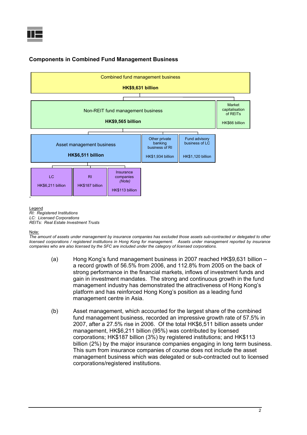

## **Components in Combined Fund Management Business**



*RI: Registered Institutions LC: Licensed Corporations REITs: Real Estate Investment Trusts* 

Note:

*The amount of assets under management by insurance companies has excluded those assets sub-contracted or delegated to other licensed corporations / registered institutions in Hong Kong for management. Assets under management reported by insurance companies who are also licensed by the SFC are included under the category of licensed corporations.* 

- (a) Hong Kong's fund management business in 2007 reached HK\$9,631 billion a record growth of 56.5% from 2006, and 112.8% from 2005 on the back of strong performance in the financial markets, inflows of investment funds and gain in investment mandates. The strong and continuous growth in the fund management industry has demonstrated the attractiveness of Hong Kong's platform and has reinforced Hong Kong's position as a leading fund management centre in Asia.
- (b) Asset management, which accounted for the largest share of the combined fund management business, recorded an impressive growth rate of 57.5% in 2007, after a 27.5% rise in 2006. Of the total HK\$6,511 billion assets under management, HK\$6,211 billion (95%) was contributed by licensed corporations; HK\$187 billion (3%) by registered institutions; and HK\$113 billion (2%) by the major insurance companies engaging in long term business. This sum from insurance companies of course does not include the asset management business which was delegated or sub-contracted out to licensed corporations/registered institutions.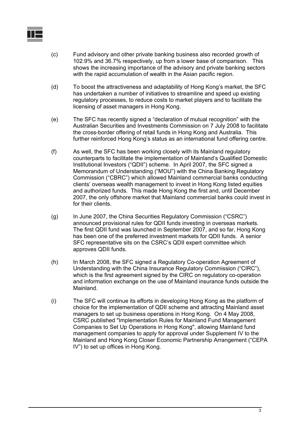

- (c) Fund advisory and other private banking business also recorded growth of 102.9% and 36.7% respectively, up from a lower base of comparison. This shows the increasing importance of the advisory and private banking sectors with the rapid accumulation of wealth in the Asian pacific region.
- (d) To boost the attractiveness and adaptability of Hong Kong's market, the SFC has undertaken a number of initiatives to streamline and speed up existing regulatory processes, to reduce costs to market players and to facilitate the licensing of asset managers in Hong Kong.
- (e) The SFC has recently signed a "declaration of mutual recognition" with the Australian Securities and Investments Commission on 7 July 2008 to facilitate the cross-border offering of retail funds in Hong Kong and Australia. This further reinforced Hong Kong's status as an international fund offering centre.
- (f) As well, the SFC has been working closely with its Mainland regulatory counterparts to facilitate the implementation of Mainland's Qualified Domestic Institutional Investors ("QDII") scheme. In April 2007, the SFC signed a Memorandum of Understanding ("MOU") with the China Banking Regulatory Commission ("CBRC") which allowed Mainland commercial banks conducting clients' overseas wealth management to invest in Hong Kong listed equities and authorized funds. This made Hong Kong the first and, until December 2007, the only offshore market that Mainland commercial banks could invest in for their clients.
- (g) In June 2007, the China Securities Regulatory Commission ("CSRC") announced provisional rules for QDII funds investing in overseas markets. The first QDII fund was launched in September 2007, and so far, Hong Kong has been one of the preferred investment markets for QDII funds. A senior SFC representative sits on the CSRC's QDII expert committee which approves QDII funds.
- (h) In March 2008, the SFC signed a Regulatory Co-operation Agreement of Understanding with the China Insurance Regulatory Commission ("CIRC"), which is the first agreement signed by the CIRC on regulatory co-operation and information exchange on the use of Mainland insurance funds outside the Mainland.
- (i) The SFC will continue its efforts in developing Hong Kong as the platform of choice for the implementation of QDII scheme and attracting Mainland asset managers to set up business operations in Hong Kong. On 4 May 2008, CSRC published "Implementation Rules for Mainland Fund Management Companies to Set Up Operations in Hong Kong", allowing Mainland fund management companies to apply for approval under Supplement IV to the Mainland and Hong Kong Closer Economic Partnership Arrangement ("CEPA IV") to set up offices in Hong Kong.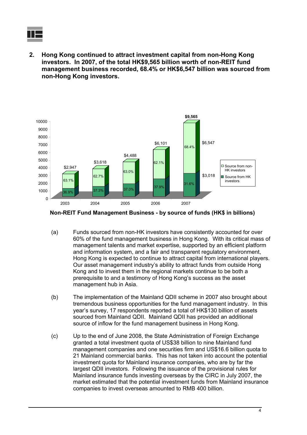

**2. Hong Kong continued to attract investment capital from non-Hong Kong investors. In 2007, of the total HK\$9,565 billion worth of non-REIT fund management business recorded, 68.4% or HK\$6,547 billion was sourced from non-Hong Kong investors.** 



**Non-REIT Fund Management Business - by source of funds (HK\$ in billions)**

- (a) Funds sourced from non-HK investors have consistently accounted for over 60% of the fund management business in Hong Kong.With its critical mass of management talents and market expertise, supported by an efficient platform and information system, and a fair and transparent regulatory environment, Hong Kong is expected to continue to attract capital from international players. Our asset management industry's ability to attract funds from outside Hong Kong and to invest them in the regional markets continue to be both a prerequisite to and a testimony of Hong Kong's success as the asset management hub in Asia.
- (b) The implementation of the Mainland QDII scheme in 2007 also brought about tremendous business opportunities for the fund management industry. In this year's survey, 17 respondents reported a total of HK\$130 billion of assets sourced from Mainland QDII. Mainland QDII has provided an additional source of inflow for the fund management business in Hong Kong.
- (c) Up to the end of June 2008, the State Administration of Foreign Exchange granted a total investment quota of US\$38 billion to nine Mainland fund management companies and one securities firm and US\$16.6 billion quota to 21 Mainland commercial banks. This has not taken into account the potential investment quota for Mainland insurance companies, who are by far the largest QDII investors. Following the issuance of the provisional rules for Mainland insurance funds investing overseas by the CIRC in July 2007, the market estimated that the potential investment funds from Mainland insurance companies to invest overseas amounted to RMB 400 billion.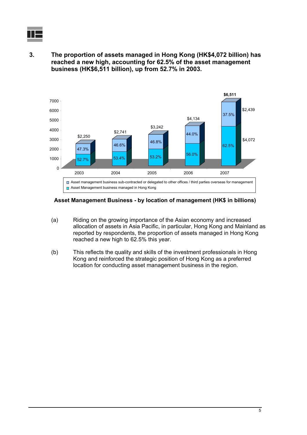

**3. The proportion of assets managed in Hong Kong (HK\$4,072 billion) has reached a new high, accounting for 62.5% of the asset management business (HK\$6,511 billion), up from 52.7% in 2003.** 



**Asset Management Business - by location of management (HK\$ in billions)**

- (a) Riding on the growing importance of the Asian economy and increased allocation of assets in Asia Pacific, in particular, Hong Kong and Mainland as reported by respondents, the proportion of assets managed in Hong Kong reached a new high to 62.5% this year.
- (b) This reflects the quality and skills of the investment professionals in Hong Kong and reinforced the strategic position of Hong Kong as a preferred location for conducting asset management business in the region.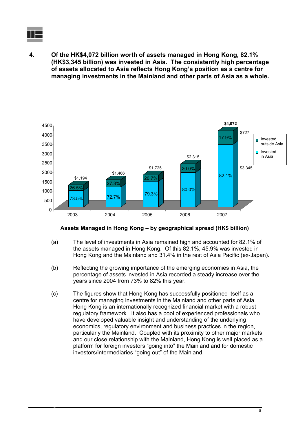

**4. Of the HK\$4,072 billion worth of assets managed in Hong Kong, 82.1% (HK\$3,345 billion) was invested in Asia. The consistently high percentage of assets allocated to Asia reflects Hong Kong's position as a centre for managing investments in the Mainland and other parts of Asia as a whole.** 

![](_page_7_Figure_2.jpeg)

#### **Assets Managed in Hong Kong – by geographical spread (HK\$ billion)**

- (a) The level of investments in Asia remained high and accounted for 82.1% of the assets managed in Hong Kong. Of this 82.1%, 45.9% was invested in Hong Kong and the Mainland and 31.4% in the rest of Asia Pacific (ex-Japan).
- (b) Reflecting the growing importance of the emerging economies in Asia, the percentage of assets invested in Asia recorded a steady increase over the years since 2004 from 73% to 82% this year.
- (c) The figures show that Hong Kong has successfully positioned itself as a centre for managing investments in the Mainland and other parts of Asia. Hong Kong is an internationally recognized financial market with a robust regulatory framework. It also has a pool of experienced professionals who have developed valuable insight and understanding of the underlying economics, regulatory environment and business practices in the region, particularly the Mainland. Coupled with its proximity to other major markets and our close relationship with the Mainland, Hong Kong is well placed as a platform for foreign investors "going into" the Mainland and for domestic investors/intermediaries "going out" of the Mainland.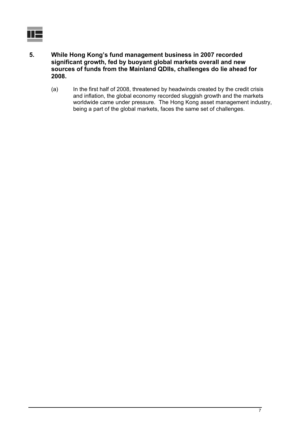ΙH

- **5. While Hong Kong's fund management business in 2007 recorded significant growth, fed by buoyant global markets overall and new sources of funds from the Mainland QDIIs, challenges do lie ahead for 2008.** 
	- (a) In the first half of 2008, threatened by headwinds created by the credit crisis and inflation, the global economy recorded sluggish growth and the markets worldwide came under pressure. The Hong Kong asset management industry, being a part of the global markets, faces the same set of challenges.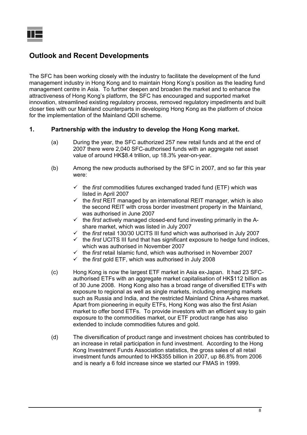## **Outlook and Recent Developments**

The SFC has been working closely with the industry to facilitate the development of the fund management industry in Hong Kong and to maintain Hong Kong's position as the leading fund management centre in Asia. To further deepen and broaden the market and to enhance the attractiveness of Hong Kong's platform, the SFC has encouraged and supported market innovation, streamlined existing regulatory process, removed regulatory impediments and built closer ties with our Mainland counterparts in developing Hong Kong as the platform of choice for the implementation of the Mainland QDII scheme.

## **1. Partnership with the industry to develop the Hong Kong market.**

- (a) During the year, the SFC authorized 257 new retail funds and at the end of 2007 there were 2,040 SFC-authorised funds with an aggregate net asset value of around HK\$8.4 trillion, up 18.3% year-on-year.
- (b) Among the new products authorised by the SFC in 2007, and so far this year were:
	- $\checkmark$  the *first* commodities futures exchanged traded fund (ETF) which was listed in April 2007
	- $\checkmark$  the *first* REIT managed by an international REIT manager, which is also the second REIT with cross border investment property in the Mainland, was authorised in June 2007
	- $\checkmark$  the *first* actively managed closed-end fund investing primarily in the Ashare market, which was listed in July 2007
	- $\checkmark$  the *first* retail 130/30 UCITS III fund which was authorised in July 2007
	- $\checkmark$  the *first* UCITS III fund that has significant exposure to hedge fund indices, which was authorised in November 2007
	- $\checkmark$  the *first* retail Islamic fund, which was authorised in November 2007
	- $\checkmark$  the *first* gold ETF, which was authorised in July 2008
- (c) Hong Kong is now the largest ETF market in Asia ex-Japan. It had 23 SFCauthorised ETFs with an aggregate market capitalisation of HK\$112 billion as of 30 June 2008. Hong Kong also has a broad range of diversified ETFs with exposure to regional as well as single markets, including emerging markets such as Russia and India, and the restricted Mainland China A-shares market. Apart from pioneering in equity ETFs, Hong Kong was also the first Asian market to offer bond ETFs. To provide investors with an efficient way to gain exposure to the commodities market, our ETF product range has also extended to include commodities futures and gold.
- (d) The diversification of product range and investment choices has contributed to an increase in retail participation in fund investment. According to the Hong Kong Investment Funds Association statistics, the gross sales of all retail investment funds amounted to HK\$355 billion in 2007, up 86.8% from 2006 and is nearly a 6 fold increase since we started our FMAS in 1999.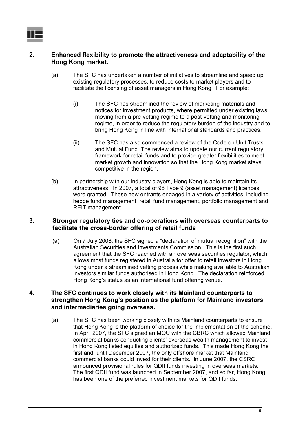## **2. Enhanced flexibility to promote the attractiveness and adaptability of the Hong Kong market.**

- (a) The SFC has undertaken a number of initiatives to streamline and speed up existing regulatory processes, to reduce costs to market players and to facilitate the licensing of asset managers in Hong Kong. For example:
	- (i) The SFC has streamlined the review of marketing materials and notices for investment products, where permitted under existing laws, moving from a pre-vetting regime to a post-vetting and monitoring regime, in order to reduce the regulatory burden of the industry and to bring Hong Kong in line with international standards and practices.
	- (ii) The SFC has also commenced a review of the Code on Unit Trusts and Mutual Fund. The review aims to update our current regulatory framework for retail funds and to provide greater flexibilities to meet market growth and innovation so that the Hong Kong market stays competitive in the region.
- (b) In partnership with our industry players, Hong Kong is able to maintain its attractiveness. In 2007, a total of 98 Type 9 (asset management) licences were granted. These new entrants engaged in a variety of activities, including hedge fund management, retail fund management, portfolio management and REIT management.

## **3. Stronger regulatory ties and co-operations with overseas counterparts to facilitate the cross-border offering of retail funds**

(a) On 7 July 2008, the SFC signed a "declaration of mutual recognition" with the Australian Securities and Investments Commission. This is the first such agreement that the SFC reached with an overseas securities regulator, which allows most funds registered in Australia for offer to retail investors in Hong Kong under a streamlined vetting process while making available to Australian investors similar funds authorised in Hong Kong. The declaration reinforced Hong Kong's status as an international fund offering venue.

### **4. The SFC continues to work closely with its Mainland counterparts to strengthen Hong Kong's position as the platform for Mainland investors and intermediaries going overseas.**

(a) The SFC has been working closely with its Mainland counterparts to ensure that Hong Kong is the platform of choice for the implementation of the scheme. In April 2007, the SFC signed an MOU with the CBRC which allowed Mainland commercial banks conducting clients' overseas wealth management to invest in Hong Kong listed equities and authorized funds. This made Hong Kong the first and, until December 2007, the only offshore market that Mainland commercial banks could invest for their clients. In June 2007, the CSRC announced provisional rules for QDII funds investing in overseas markets. The first QDII fund was launched in September 2007, and so far, Hong Kong has been one of the preferred investment markets for QDII funds.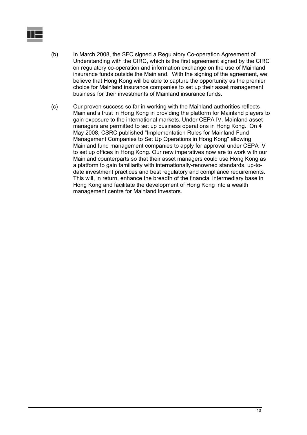- (b) In March 2008, the SFC signed a Regulatory Co-operation Agreement of Understanding with the CIRC, which is the first agreement signed by the CIRC on regulatory co-operation and information exchange on the use of Mainland insurance funds outside the Mainland. With the signing of the agreement, we believe that Hong Kong will be able to capture the opportunity as the premier choice for Mainland insurance companies to set up their asset management business for their investments of Mainland insurance funds.
- (c) Our proven success so far in working with the Mainland authorities reflects Mainland's trust in Hong Kong in providing the platform for Mainland players to gain exposure to the international markets. Under CEPA IV, Mainland asset managers are permitted to set up business operations in Hong Kong. On 4 May 2008, CSRC published "Implementation Rules for Mainland Fund Management Companies to Set Up Operations in Hong Kong" allowing Mainland fund management companies to apply for approval under CEPA IV to set up offices in Hong Kong. Our new imperatives now are to work with our Mainland counterparts so that their asset managers could use Hong Kong as a platform to gain familiarity with internationally-renowned standards, up-todate investment practices and best regulatory and compliance requirements. This will, in return, enhance the breadth of the financial intermediary base in Hong Kong and facilitate the development of Hong Kong into a wealth management centre for Mainland investors.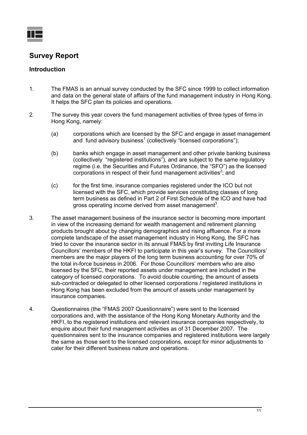![](_page_12_Picture_0.jpeg)

## **Survey Report**

## **Introduction**

- 1. The FMAS is an annual survey conducted by the SFC since 1999 to collect information and data on the general state of affairs of the fund management industry in Hong Kong. It helps the SFC plan its policies and operations.
- 2. The survey this year covers the fund management activities of three types of firms in Hong Kong, namely:
	- (a) corporations which are licensed by the SFC and engage in asset management and fund advisory business<sup>1</sup> (collectively "licensed corporations");
	- (b) banks which engage in asset management and other private banking business (collectively "registered institutions"), and are subject to the same regulatory regime (i.e. the Securities and Futures Ordinance, the "SFO") as the licensed corporations in respect of their fund management activities<sup>2</sup>; and
	- (c) for the first time, insurance companies registered under the ICO but not licensed with the SFC, which provide services constituting classes of long term business as defined in Part 2 of First Schedule of the ICO and have had gross operating income derived from asset management<sup>3</sup>.
- 3. The asset management business of the insurance sector is becoming more important in view of the increasing demand for wealth management and retirement planning products brought about by changing demographics and rising affluence. For a more complete landscape of the asset management industry in Hong Kong, the SFC has tried to cover the insurance sector in its annual FMAS by first inviting Life Insurance Councillors' members of the HKFI to participate in this year's survey. The Councillors' members are the major players of the long term business accounting for over 70% of the total in-force business in 2006. For those Councillors' members who are also licensed by the SFC, their reported assets under management are included in the category of licensed corporations. To avoid double counting, the amount of assets sub-contracted or delegated to other licensed corporations / registered institutions in Hong Kong has been excluded from the amount of assets under management by insurance companies.
- 4. Questionnaires (the "FMAS 2007 Questionnaire") were sent to the licensed corporations and, with the assistance of the Hong Kong Monetary Authority and the HKFI, to the registered institutions and relevant insurance companies respectively, to enquire about their fund management activities as of 31 December 2007. The questionnaires sent to the insurance companies and registered institutions were largely the same as those sent to the licensed corporations, except for minor adjustments to cater for their different business nature and operations.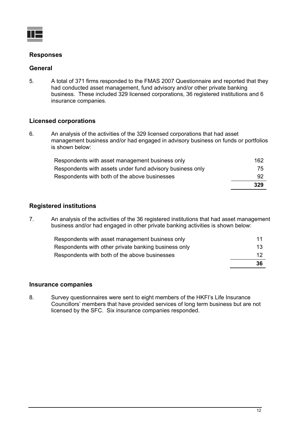![](_page_13_Picture_0.jpeg)

## **Responses**

### **General**

5. A total of 371 firms responded to the FMAS 2007 Questionnaire and reported that they had conducted asset management, fund advisory and/or other private banking business. These included 329 licensed corporations, 36 registered institutions and 6 insurance companies.

## **Licensed corporations**

6. An analysis of the activities of the 329 licensed corporations that had asset management business and/or had engaged in advisory business on funds or portfolios is shown below:

|                                                           | 329 |
|-----------------------------------------------------------|-----|
| Respondents with both of the above businesses             | -92 |
| Respondents with assets under fund advisory business only | 75  |
| Respondents with asset management business only           | 162 |

## **Registered institutions**

7. An analysis of the activities of the 36 registered institutions that had asset management business and/or had engaged in other private banking activities is shown below:

|                                                      | 36  |
|------------------------------------------------------|-----|
| Respondents with both of the above businesses        | 12  |
| Respondents with other private banking business only | 13. |
| Respondents with asset management business only      | 11  |

#### **Insurance companies**

8. Survey questionnaires were sent to eight members of the HKFI's Life Insurance Councillors' members that have provided services of long term business but are not licensed by the SFC. Six insurance companies responded.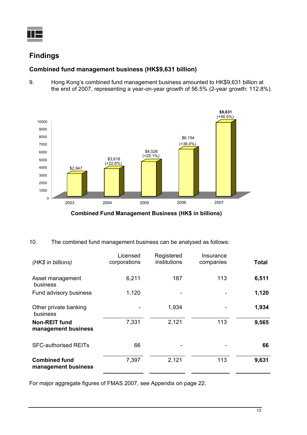![](_page_14_Picture_0.jpeg)

## **Findings**

## **Combined fund management business (HK\$9,631 billion)**

9. Hong Kong's combined fund management business amounted to HK\$9,631 billion at the end of 2007, representing a year-on-year growth of 56.5% (2-year growth: 112.8%).

![](_page_14_Figure_4.jpeg)

**Combined Fund Management Business (HK\$ in billions)**

10. The combined fund management business can be analysed as follows:

| (HK\$ in billions)                          | Licensed<br>corporations | Registered<br>institutions | Insurance<br>companies | <b>Total</b> |
|---------------------------------------------|--------------------------|----------------------------|------------------------|--------------|
| Asset management<br>business                | 6,211                    | 187                        | 113                    | 6,511        |
| Fund advisory business                      | 1,120                    |                            |                        | 1,120        |
| Other private banking<br>business           |                          | 1,934                      |                        | 1,934        |
| <b>Non-REIT fund</b><br>management business | 7,331                    | 2,121                      | 113                    | 9,565        |
| <b>SFC-authorised REITs</b>                 | 66                       |                            |                        | 66           |
| <b>Combined fund</b><br>management business | 7,397                    | 2,121                      | 113                    | 9,631        |

For major aggregate figures of FMAS 2007, see Appendix on page 22.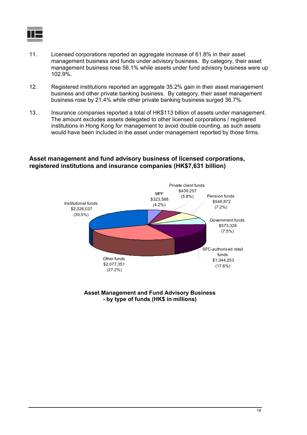![](_page_15_Picture_0.jpeg)

- 11. Licensed corporations reported an aggregate increase of 61.8% in their asset management business and funds under advisory business. By category, their asset management business rose 56.1% while assets under fund advisory business were up 102.9%.
- 12. Registered institutions reported an aggregate 35.2% gain in their asset management business and other private banking business. By category, their asset management business rose by 21.4% while other private banking business surged 36.7%.
- 13. Insurance companies reported a total of HK\$113 billion of assets under management. The amount excludes assets delegated to other licensed corporations / registered institutions in Hong Kong for management to avoid double counting, as such assets would have been included in the asset under management reported by those firms.

### **Asset management and fund advisory business of licensed corporations, registered institutions and insurance companies (HK\$7,631 billion)**

![](_page_15_Figure_5.jpeg)

**Asset Management and Fund Advisory Business - by type of funds (HK\$ in millions)**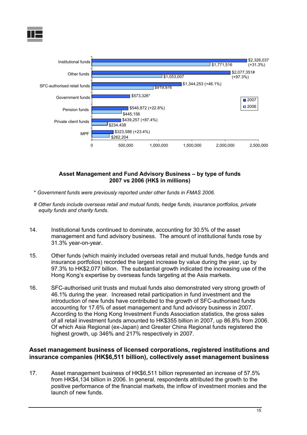![](_page_16_Picture_0.jpeg)

![](_page_16_Figure_1.jpeg)

#### **Asset Management and Fund Advisory Business – by type of funds 2007 vs 2006 (HK\$ in millions)**

- \* *Government funds were previously reported under other funds in FMAS 2006.*
- # *Other funds include overseas retail and mutual funds, hedge funds, insurance portfolios, private equity funds and charity funds*.
- 14. Institutional funds continued to dominate, accounting for 30.5% of the asset management and fund advisory business. The amount of institutional funds rose by 31.3% year-on-year.
- 15. Other funds (which mainly included overseas retail and mutual funds, hedge funds and insurance portfolios) recorded the largest increase by value during the year, up by 97.3% to HK\$2,077 billion. The substantial growth indicated the increasing use of the Hong Kong's expertise by overseas funds targeting at the Asia markets.
- 16. SFC-authorised unit trusts and mutual funds also demonstrated very strong growth of 46.1% during the year. Increased retail participation in fund investment and the introduction of new funds have contributed to the growth of SFC-authorised funds accounting for 17.6% of asset management and fund advisory business in 2007. According to the Hong Kong Investment Funds Association statistics, the gross sales of all retail investment funds amounted to HK\$355 billion in 2007, up 86.8% from 2006. Of which Asia Regional (ex-Japan) and Greater China Regional funds registered the highest growth, up 346% and 217% respectively in 2007.

## **Asset management business of licensed corporations, registered institutions and insurance companies (HK\$6,511 billion), collectively asset management business**

17. Asset management business of HK\$6,511 billion represented an increase of 57.5% from HK\$4,134 billion in 2006. In general, respondents attributed the growth to the positive performance of the financial markets, the inflow of investment monies and the launch of new funds.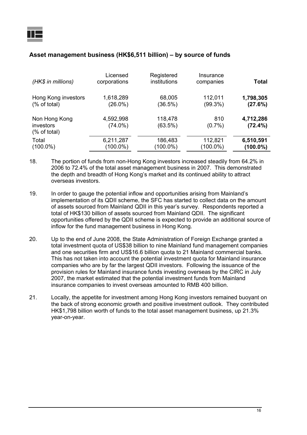| (HK\$ in millions)                          | Licensed<br>corporations | Registered<br>institutions | Insurance<br>companies | Total                   |
|---------------------------------------------|--------------------------|----------------------------|------------------------|-------------------------|
| Hong Kong investors                         | 1,618,289                | 68,005                     | 112,011                | 1,798,305               |
| $%$ of total)                               | $(26.0\%)$               | (36.5%)                    | $(99.3\%)$             | (27.6%)                 |
| Non Hong Kong<br>investors<br>$%$ of total) | 4,592,998<br>$(74.0\%)$  | 118,478<br>(63.5%)         | 810<br>$(0.7\%)$       | 4,712,286<br>$(72.4\%)$ |
| Total                                       | 6,211,287                | 186,483                    | 112,821                | 6,510,591               |
| $(100.0\%)$                                 | (100.0%)                 | $(100.0\%)$                | (100.0%)               | $(100.0\%)$             |

## **Asset management business (HK\$6,511 billion) – by source of funds**

- 18. The portion of funds from non-Hong Kong investors increased steadily from 64.2% in 2006 to 72.4% of the total asset management business in 2007. This demonstrated the depth and breadth of Hong Kong's market and its continued ability to attract overseas investors.
- 19. In order to gauge the potential inflow and opportunities arising from Mainland's implementation of its QDII scheme, the SFC has started to collect data on the amount of assets sourced from Mainland QDII in this year's survey. Respondents reported a total of HK\$130 billion of assets sourced from Mainland QDII. The significant opportunities offered by the QDII scheme is expected to provide an additional source of inflow for the fund management business in Hong Kong.
- 20. Up to the end of June 2008, the State Administration of Foreign Exchange granted a total investment quota of US\$38 billion to nine Mainland fund management companies and one securities firm and US\$16.6 billion quota to 21 Mainland commercial banks. This has not taken into account the potential investment quota for Mainland insurance companies who are by far the largest QDII investors. Following the issuance of the provision rules for Mainland insurance funds investing overseas by the CIRC in July 2007, the market estimated that the potential investment funds from Mainland insurance companies to invest overseas amounted to RMB 400 billion.
- 21. Locally, the appetite for investment among Hong Kong investors remained buoyant on the back of strong economic growth and positive investment outlook. They contributed HK\$1,798 billion worth of funds to the total asset management business, up 21.3% year-on-year.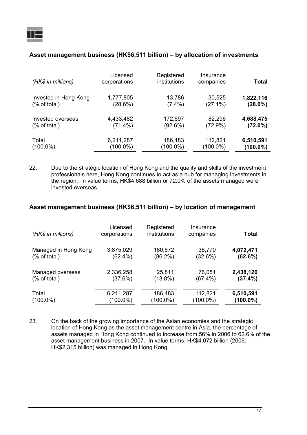| (HK\$ in millions)    | Licensed<br>corporations | Registered<br>institutions | Insurance<br>companies | <b>Total</b> |
|-----------------------|--------------------------|----------------------------|------------------------|--------------|
| Invested in Hong Kong | 1,777,805                | 13,786                     | 30,525                 | 1,822,116    |
| $%$ of total)         | (28.6%)                  | $(7.4\%)$                  | $(27.1\%)$             | $(28.0\%)$   |
| Invested overseas     | 4,433,482                | 172,697                    | 82,296                 | 4,688,475    |
| $%$ of total)         | $(71.4\%)$               | (92.6%)                    | $(72.9\%)$             | $(72.0\%)$   |
| Total                 | 6,211,287                | 186,483                    | 112,821                | 6,510,591    |
| $(100.0\%)$           | (100.0%)                 | (100.0%)                   | $(100.0\%)$            | (100.0%)     |

#### **Asset management business (HK\$6,511 billion) – by allocation of investments**

22. Due to the strategic location of Hong Kong and the quality and skills of the investment professionals here, Hong Kong continues to act as a hub for managing investments in the region. In value terms, HK\$4,688 billion or 72.0% of the assets managed were invested overseas.

### **Asset management business (HK\$6,511 billion) – by location of management**

| (HK\$ in millions)   | Licensed<br>corporations | Registered<br>institutions | Insurance<br>companies | Total       |
|----------------------|--------------------------|----------------------------|------------------------|-------------|
| Managed in Hong Kong | 3,875,029                | 160,672                    | 36,770                 | 4,072,471   |
| $%$ of total)        | $(62.4\%)$               | $(86.2\%)$                 | (32.6%)                | (62.6%)     |
| Managed overseas     | 2,336,258                | 25,811                     | 76,051                 | 2,438,120   |
| $%$ of total)        | (37.6%)                  | $(13.8\%)$                 | $(67.4\%)$             | (37.4%)     |
| Total                | 6,211,287                | 186,483                    | 112,821                | 6,510,591   |
| $(100.0\%)$          | $(100.0\%)$              | $(100.0\%)$                | $(100.0\%)$            | $(100.0\%)$ |

23. On the back of the growing importance of the Asian economies and the strategic location of Hong Kong as the asset management centre in Asia, the percentage of assets managed in Hong Kong continued to increase from 56% in 2006 to 62.6% of the asset management business in 2007. In value terms, HK\$4,072 billion (2006: HK\$2,315 billion) was managed in Hong Kong.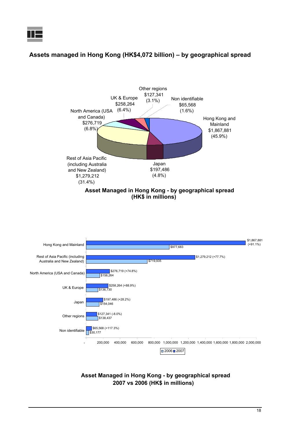## **Assets managed in Hong Kong (HK\$4,072 billion) – by geographical spread**

![](_page_19_Figure_2.jpeg)

![](_page_19_Figure_3.jpeg)

![](_page_19_Figure_4.jpeg)

#### **Asset Managed in Hong Kong - by geographical spread 2007 vs 2006 (HK\$ in millions)**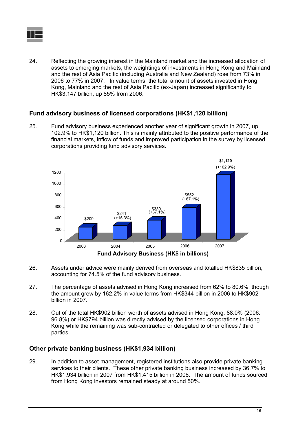![](_page_20_Picture_0.jpeg)

24. Reflecting the growing interest in the Mainland market and the increased allocation of assets to emerging markets, the weightings of investments in Hong Kong and Mainland and the rest of Asia Pacific (including Australia and New Zealand) rose from 73% in 2006 to 77% in 2007. In value terms, the total amount of assets invested in Hong Kong, Mainland and the rest of Asia Pacific (ex-Japan) increased significantly to HK\$3,147 billion, up 85% from 2006.

## **Fund advisory business of licensed corporations (HK\$1,120 billion)**

25. Fund advisory business experienced another year of significant growth in 2007, up 102.9% to HK\$1,120 billion. This is mainly attributed to the positive performance of the financial markets, inflow of funds and improved participation in the survey by licensed corporations providing fund advisory services.

![](_page_20_Figure_4.jpeg)

- 26. Assets under advice were mainly derived from overseas and totalled HK\$835 billion, accounting for 74.5% of the fund advisory business.
- 27. The percentage of assets advised in Hong Kong increased from 62% to 80.6%, though the amount grew by 162.2% in value terms from HK\$344 billion in 2006 to HK\$902 billion in 2007.
- 28. Out of the total HK\$902 billion worth of assets advised in Hong Kong, 88.0% (2006: 96.8%) or HK\$794 billion was directly advised by the licensed corporations in Hong Kong while the remaining was sub-contracted or delegated to other offices / third parties.

## **Other private banking business (HK\$1,934 billion)**

29. In addition to asset management, registered institutions also provide private banking services to their clients. These other private banking business increased by 36.7% to HK\$1,934 billion in 2007 from HK\$1,415 billion in 2006. The amount of funds sourced from Hong Kong investors remained steady at around 50%.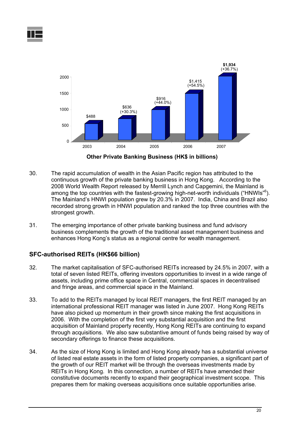![](_page_21_Figure_1.jpeg)

**Other Private Banking Business (HK\$ in billions)**

- 30. The rapid accumulation of wealth in the Asian Pacific region has attributed to the continuous growth of the private banking business in Hong Kong. According to the 2008 World Wealth Report released by Merrill Lynch and Capgemini, the Mainland is among the top countries with the fastest-growing high-net-worth individuals ("HNWIs"<sup>6</sup>). The Mainland's HNWI population grew by 20.3% in 2007. India, China and Brazil also recorded strong growth in HNWI population and ranked the top three countries with the strongest growth.
- 31. The emerging importance of other private banking business and fund advisory business complements the growth of the traditional asset management business and enhances Hong Kong's status as a regional centre for wealth management.

## **SFC-authorised REITs (HK\$66 billion)**

- 32. The market capitalisation of SFC-authorised REITs increased by 24.5% in 2007, with a total of seven listed REITs, offering investors opportunities to invest in a wide range of assets, including prime office space in Central, commercial spaces in decentralised and fringe areas, and commercial space in the Mainland.
- 33. To add to the REITs managed by local REIT managers, the first REIT managed by an international professional REIT manager was listed in June 2007. Hong Kong REITs have also picked up momentum in their growth since making the first acquisitions in 2006. With the completion of the first very substantial acquisition and the first acquisition of Mainland property recently, Hong Kong REITs are continuing to expand through acquisitions. We also saw substantive amount of funds being raised by way of secondary offerings to finance these acquisitions.
- 34. As the size of Hong Kong is limited and Hong Kong already has a substantial universe of listed real estate assets in the form of listed property companies, a significant part of the growth of our REIT market will be through the overseas investments made by REITs in Hong Kong. In this connection, a number of REITs have amended their constitutive documents recently to expand their geographical investment scope. This prepares them for making overseas acquisitions once suitable opportunities arise.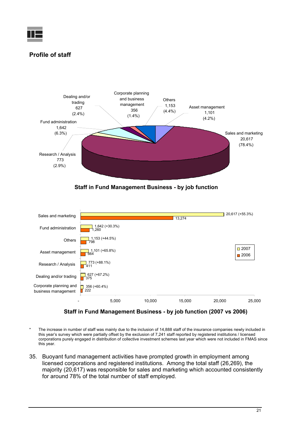![](_page_22_Picture_0.jpeg)

## **Profile of staff**

![](_page_22_Figure_2.jpeg)

**Staff in Fund Management Business - by job function**

![](_page_22_Figure_4.jpeg)

**Staff in Fund Management Business - by job function (2007 vs 2006)**

- The increase in number of staff was mainly due to the inclusion of 14,888 staff of the insurance companies newly included in this year's survey which were partially offset by the exclusion of 7,241 staff reported by registered institutions / licensed corporations purely engaged in distribution of collective investment schemes last year which were not included in FMAS since this year.
- 35. Buoyant fund management activities have prompted growth in employment among licensed corporations and registered institutions. Among the total staff (26,269), the majority (20,617) was responsible for sales and marketing which accounted consistently for around 78% of the total number of staff employed.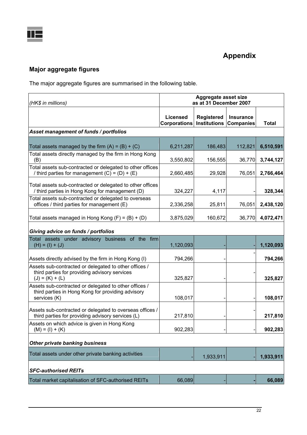![](_page_23_Picture_0.jpeg)

# **Appendix**

## **Major aggregate figures**

The major aggregate figures are summarised in the following table.

| (HK\$ in millions)                                                                                                          | Aggregate asset size<br>as at 31 December 2007 |                                          |                               |              |
|-----------------------------------------------------------------------------------------------------------------------------|------------------------------------------------|------------------------------------------|-------------------------------|--------------|
|                                                                                                                             | <b>Licensed</b><br><b>Corporations</b>         | <b>Registered</b><br><b>Institutions</b> | Insurance<br><b>Companies</b> | <b>Total</b> |
| Asset management of funds / portfolios                                                                                      |                                                |                                          |                               |              |
| Total assets managed by the firm $(A) = (B) + (C)$                                                                          | 6,211,287                                      | 186,483                                  | 112,821                       | 6,510,591    |
| Total assets directly managed by the firm in Hong Kong<br>(B)                                                               | 3,550,802                                      | 156,555                                  | 36,770                        | 3,744,127    |
| Total assets sub-contracted or delegated to other offices<br>/ third parties for management $(C) = (D) + (E)$               | 2,660,485                                      | 29,928                                   | 76,051                        | 2,766,464    |
| Total assets sub-contracted or delegated to other offices<br>/ third parties in Hong Kong for management (D)                | 324,227                                        | 4,117                                    |                               | 328,344      |
| Total assets sub-contracted or delegated to overseas<br>offices / third parties for management (E)                          | 2,336,258                                      | 25,811                                   | 76,051                        | 2,438,120    |
| Total assets managed in Hong Kong $(F) = (B) + (D)$                                                                         | 3,875,029                                      | 160,672                                  | 36,770                        | 4,072,471    |
| Giving advice on funds / portfolios                                                                                         |                                                |                                          |                               |              |
| Total assets under advisory business of the firm<br>$(H) = (I) + (J)$                                                       | 1,120,093                                      |                                          |                               | 1,120,093    |
| Assets directly advised by the firm in Hong Kong (I)                                                                        | 794,266                                        |                                          |                               | 794,266      |
| Assets sub-contracted or delegated to other offices /<br>third parties for providing advisory services<br>$(J) = (K) + (L)$ | 325,827                                        |                                          |                               | 325,827      |
| Assets sub-contracted or delegated to other offices /<br>third parties in Hong Kong for providing advisory<br>services (K)  | 108,017                                        |                                          |                               | 108,017      |
| Assets sub-contracted or delegated to overseas offices /<br>third parties for providing advisory services (L)               | 217,810                                        |                                          |                               | 217,810      |
| Assets on which advice is given in Hong Kong<br>$(M) = (I) + (K)$                                                           | 902,283                                        |                                          |                               | 902,283      |
| <b>Other private banking business</b>                                                                                       |                                                |                                          |                               |              |
| Total assets under other private banking activities                                                                         |                                                | 1,933,911                                |                               | 1,933,911    |
| <b>SFC-authorised REITs</b>                                                                                                 |                                                |                                          |                               |              |
| Total market capitalisation of SFC-authorised REITs                                                                         | 66,089                                         |                                          |                               | 66,089       |